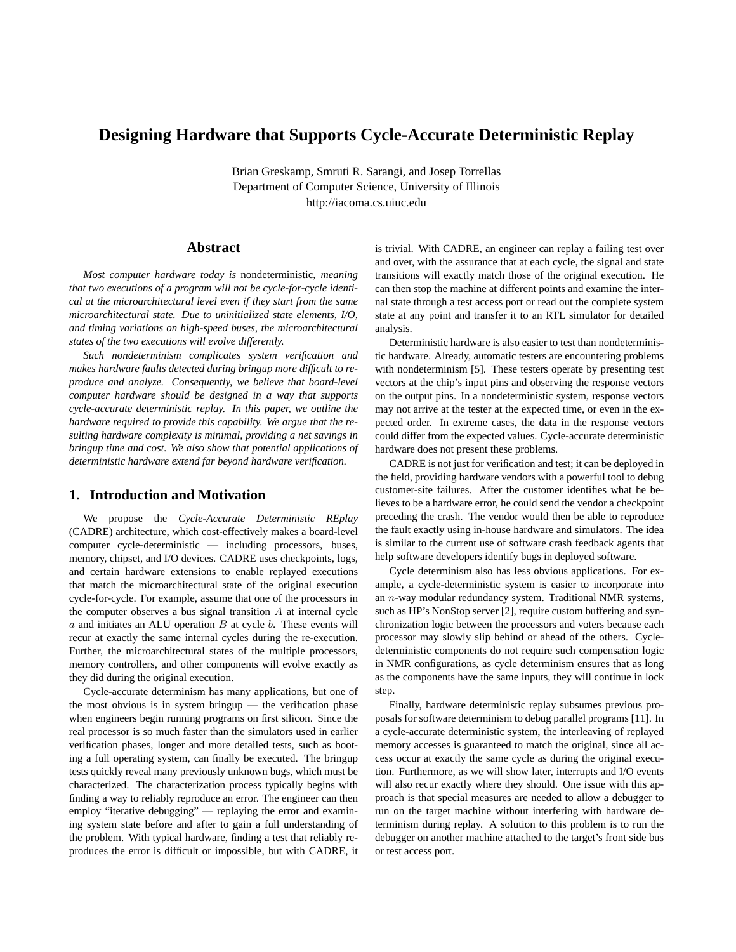# **Designing Hardware that Supports Cycle-Accurate Deterministic Replay**

Brian Greskamp, Smruti R. Sarangi, and Josep Torrellas Department of Computer Science, University of Illinois http://iacoma.cs.uiuc.edu

### **Abstract**

*Most computer hardware today is* nondeterministic*, meaning that two executions of a program will not be cycle-for-cycle identical at the microarchitectural level even if they start from the same microarchitectural state. Due to uninitialized state elements, I/O, and timing variations on high-speed buses, the microarchitectural states of the two executions will evolve differently.*

*Such nondeterminism complicates system verification and makes hardware faults detected during bringup more difficult to reproduce and analyze. Consequently, we believe that board-level computer hardware should be designed in a way that supports cycle-accurate deterministic replay. In this paper, we outline the hardware required to provide this capability. We argue that the resulting hardware complexity is minimal, providing a net savings in bringup time and cost. We also show that potential applications of deterministic hardware extend far beyond hardware verification.*

### **1. Introduction and Motivation**

We propose the *Cycle-Accurate Deterministic REplay* (CADRE) architecture, which cost-effectively makes a board-level computer cycle-deterministic — including processors, buses, memory, chipset, and I/O devices. CADRE uses checkpoints, logs, and certain hardware extensions to enable replayed executions that match the microarchitectural state of the original execution cycle-for-cycle. For example, assume that one of the processors in the computer observes a bus signal transition  $A$  at internal cycle  $a$  and initiates an ALU operation  $B$  at cycle  $b$ . These events will recur at exactly the same internal cycles during the re-execution. Further, the microarchitectural states of the multiple processors, memory controllers, and other components will evolve exactly as they did during the original execution.

Cycle-accurate determinism has many applications, but one of the most obvious is in system bringup — the verification phase when engineers begin running programs on first silicon. Since the real processor is so much faster than the simulators used in earlier verification phases, longer and more detailed tests, such as booting a full operating system, can finally be executed. The bringup tests quickly reveal many previously unknown bugs, which must be characterized. The characterization process typically begins with finding a way to reliably reproduce an error. The engineer can then employ "iterative debugging" — replaying the error and examining system state before and after to gain a full understanding of the problem. With typical hardware, finding a test that reliably reproduces the error is difficult or impossible, but with CADRE, it

is trivial. With CADRE, an engineer can replay a failing test over and over, with the assurance that at each cycle, the signal and state transitions will exactly match those of the original execution. He can then stop the machine at different points and examine the internal state through a test access port or read out the complete system state at any point and transfer it to an RTL simulator for detailed analysis.

Deterministic hardware is also easier to test than nondeterministic hardware. Already, automatic testers are encountering problems with nondeterminism [5]. These testers operate by presenting test vectors at the chip's input pins and observing the response vectors on the output pins. In a nondeterministic system, response vectors may not arrive at the tester at the expected time, or even in the expected order. In extreme cases, the data in the response vectors could differ from the expected values. Cycle-accurate deterministic hardware does not present these problems.

CADRE is not just for verification and test; it can be deployed in the field, providing hardware vendors with a powerful tool to debug customer-site failures. After the customer identifies what he believes to be a hardware error, he could send the vendor a checkpoint preceding the crash. The vendor would then be able to reproduce the fault exactly using in-house hardware and simulators. The idea is similar to the current use of software crash feedback agents that help software developers identify bugs in deployed software.

Cycle determinism also has less obvious applications. For example, a cycle-deterministic system is easier to incorporate into an  $n$ -way modular redundancy system. Traditional NMR systems, such as HP's NonStop server [2], require custom buffering and synchronization logic between the processors and voters because each processor may slowly slip behind or ahead of the others. Cycledeterministic components do not require such compensation logic in NMR configurations, as cycle determinism ensures that as long as the components have the same inputs, they will continue in lock step.

Finally, hardware deterministic replay subsumes previous proposals for software determinism to debug parallel programs [11]. In a cycle-accurate deterministic system, the interleaving of replayed memory accesses is guaranteed to match the original, since all access occur at exactly the same cycle as during the original execution. Furthermore, as we will show later, interrupts and I/O events will also recur exactly where they should. One issue with this approach is that special measures are needed to allow a debugger to run on the target machine without interfering with hardware determinism during replay. A solution to this problem is to run the debugger on another machine attached to the target's front side bus or test access port.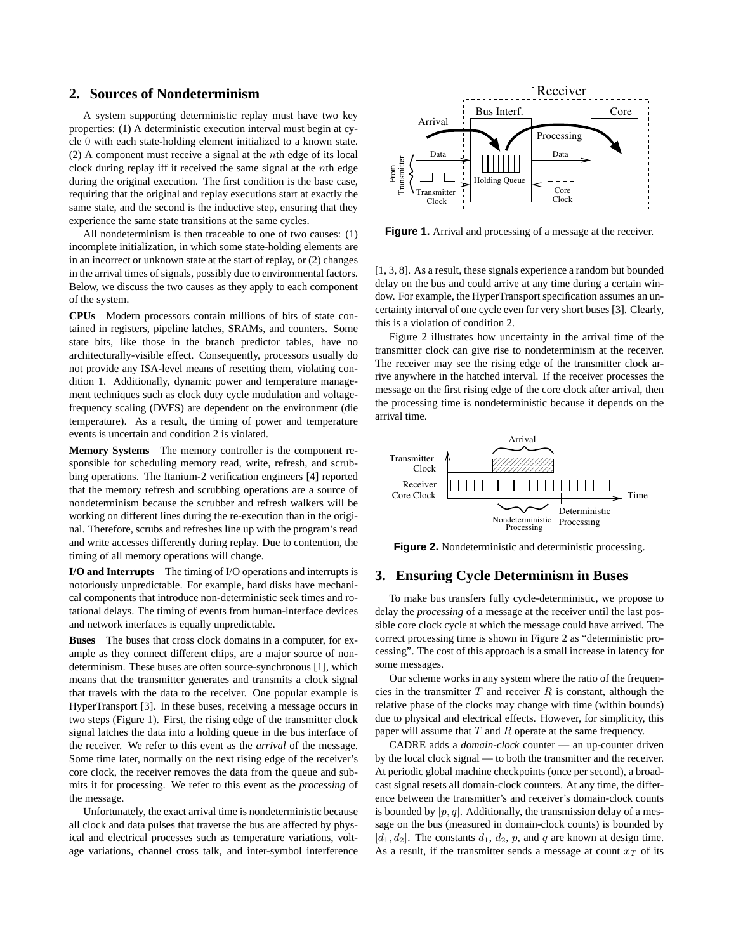### **2. Sources of Nondeterminism**

A system supporting deterministic replay must have two key properties: (1) A deterministic execution interval must begin at cycle 0 with each state-holding element initialized to a known state. (2) A component must receive a signal at the nth edge of its local clock during replay iff it received the same signal at the nth edge during the original execution. The first condition is the base case, requiring that the original and replay executions start at exactly the same state, and the second is the inductive step, ensuring that they experience the same state transitions at the same cycles.

All nondeterminism is then traceable to one of two causes: (1) incomplete initialization, in which some state-holding elements are in an incorrect or unknown state at the start of replay, or (2) changes in the arrival times of signals, possibly due to environmental factors. Below, we discuss the two causes as they apply to each component of the system.

**CPUs** Modern processors contain millions of bits of state contained in registers, pipeline latches, SRAMs, and counters. Some state bits, like those in the branch predictor tables, have no architecturally-visible effect. Consequently, processors usually do not provide any ISA-level means of resetting them, violating condition 1. Additionally, dynamic power and temperature management techniques such as clock duty cycle modulation and voltagefrequency scaling (DVFS) are dependent on the environment (die temperature). As a result, the timing of power and temperature events is uncertain and condition 2 is violated.

**Memory Systems** The memory controller is the component responsible for scheduling memory read, write, refresh, and scrubbing operations. The Itanium-2 verification engineers [4] reported that the memory refresh and scrubbing operations are a source of nondeterminism because the scrubber and refresh walkers will be working on different lines during the re-execution than in the original. Therefore, scrubs and refreshes line up with the program's read and write accesses differently during replay. Due to contention, the timing of all memory operations will change.

**I/O and Interrupts** The timing of I/O operations and interrupts is notoriously unpredictable. For example, hard disks have mechanical components that introduce non-deterministic seek times and rotational delays. The timing of events from human-interface devices and network interfaces is equally unpredictable.

**Buses** The buses that cross clock domains in a computer, for example as they connect different chips, are a major source of nondeterminism. These buses are often source-synchronous [1], which means that the transmitter generates and transmits a clock signal that travels with the data to the receiver. One popular example is HyperTransport [3]. In these buses, receiving a message occurs in two steps (Figure 1). First, the rising edge of the transmitter clock signal latches the data into a holding queue in the bus interface of the receiver. We refer to this event as the *arrival* of the message. Some time later, normally on the next rising edge of the receiver's core clock, the receiver removes the data from the queue and submits it for processing. We refer to this event as the *processing* of the message.

Unfortunately, the exact arrival time is nondeterministic because all clock and data pulses that traverse the bus are affected by physical and electrical processes such as temperature variations, voltage variations, channel cross talk, and inter-symbol interference



**Figure 1.** Arrival and processing of a message at the receiver.

[1, 3, 8]. As a result, these signals experience a random but bounded delay on the bus and could arrive at any time during a certain window. For example, the HyperTransport specification assumes an uncertainty interval of one cycle even for very short buses [3]. Clearly, this is a violation of condition 2.

Figure 2 illustrates how uncertainty in the arrival time of the transmitter clock can give rise to nondeterminism at the receiver. The receiver may see the rising edge of the transmitter clock arrive anywhere in the hatched interval. If the receiver processes the message on the first rising edge of the core clock after arrival, then the processing time is nondeterministic because it depends on the arrival time.



**Figure 2.** Nondeterministic and deterministic processing.

### **3. Ensuring Cycle Determinism in Buses**

To make bus transfers fully cycle-deterministic, we propose to delay the *processing* of a message at the receiver until the last possible core clock cycle at which the message could have arrived. The correct processing time is shown in Figure 2 as "deterministic processing". The cost of this approach is a small increase in latency for some messages.

Our scheme works in any system where the ratio of the frequencies in the transmitter  $T$  and receiver  $R$  is constant, although the relative phase of the clocks may change with time (within bounds) due to physical and electrical effects. However, for simplicity, this paper will assume that  $T$  and  $R$  operate at the same frequency.

CADRE adds a *domain-clock* counter — an up-counter driven by the local clock signal — to both the transmitter and the receiver. At periodic global machine checkpoints (once per second), a broadcast signal resets all domain-clock counters. At any time, the difference between the transmitter's and receiver's domain-clock counts is bounded by  $[p, q]$ . Additionally, the transmission delay of a message on the bus (measured in domain-clock counts) is bounded by  $[d_1, d_2]$ . The constants  $d_1, d_2, p$ , and q are known at design time. As a result, if the transmitter sends a message at count  $x_T$  of its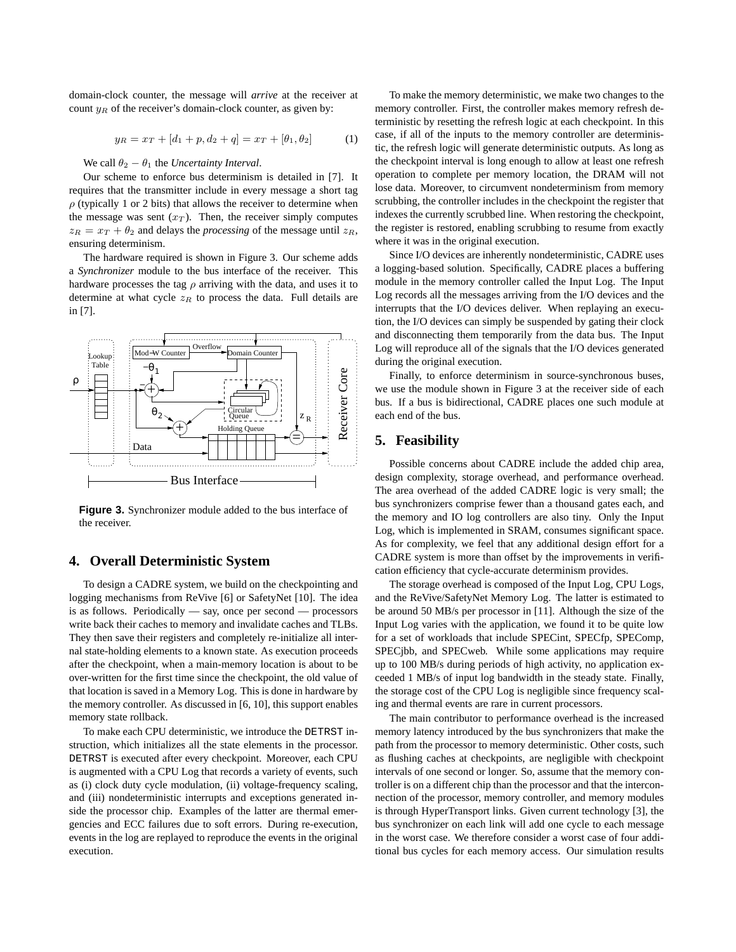domain-clock counter, the message will *arrive* at the receiver at count  $y_R$  of the receiver's domain-clock counter, as given by:

$$
y_R = x_T + [d_1 + p, d_2 + q] = x_T + [\theta_1, \theta_2]
$$
 (1)

#### We call  $\theta_2 - \theta_1$  the *Uncertainty Interval*.

Our scheme to enforce bus determinism is detailed in [7]. It requires that the transmitter include in every message a short tag  $\rho$  (typically 1 or 2 bits) that allows the receiver to determine when the message was sent  $(x_T)$ . Then, the receiver simply computes  $z_R = x_T + \theta_2$  and delays the *processing* of the message until  $z_R$ , ensuring determinism.

The hardware required is shown in Figure 3. Our scheme adds a *Synchronizer* module to the bus interface of the receiver. This hardware processes the tag  $\rho$  arriving with the data, and uses it to determine at what cycle  $z_R$  to process the data. Full details are in [7].



**Figure 3.** Synchronizer module added to the bus interface of the receiver.

## **4. Overall Deterministic System**

To design a CADRE system, we build on the checkpointing and logging mechanisms from ReVive [6] or SafetyNet [10]. The idea is as follows. Periodically — say, once per second — processors write back their caches to memory and invalidate caches and TLBs. They then save their registers and completely re-initialize all internal state-holding elements to a known state. As execution proceeds after the checkpoint, when a main-memory location is about to be over-written for the first time since the checkpoint, the old value of that location is saved in a Memory Log. This is done in hardware by the memory controller. As discussed in [6, 10], this support enables memory state rollback.

To make each CPU deterministic, we introduce the DETRST instruction, which initializes all the state elements in the processor. DETRST is executed after every checkpoint. Moreover, each CPU is augmented with a CPU Log that records a variety of events, such as (i) clock duty cycle modulation, (ii) voltage-frequency scaling, and (iii) nondeterministic interrupts and exceptions generated inside the processor chip. Examples of the latter are thermal emergencies and ECC failures due to soft errors. During re-execution, events in the log are replayed to reproduce the events in the original execution.

To make the memory deterministic, we make two changes to the memory controller. First, the controller makes memory refresh deterministic by resetting the refresh logic at each checkpoint. In this case, if all of the inputs to the memory controller are deterministic, the refresh logic will generate deterministic outputs. As long as the checkpoint interval is long enough to allow at least one refresh operation to complete per memory location, the DRAM will not lose data. Moreover, to circumvent nondeterminism from memory scrubbing, the controller includes in the checkpoint the register that indexes the currently scrubbed line. When restoring the checkpoint, the register is restored, enabling scrubbing to resume from exactly where it was in the original execution.

Since I/O devices are inherently nondeterministic, CADRE uses a logging-based solution. Specifically, CADRE places a buffering module in the memory controller called the Input Log. The Input Log records all the messages arriving from the I/O devices and the interrupts that the I/O devices deliver. When replaying an execution, the I/O devices can simply be suspended by gating their clock and disconnecting them temporarily from the data bus. The Input Log will reproduce all of the signals that the I/O devices generated during the original execution.

Finally, to enforce determinism in source-synchronous buses, we use the module shown in Figure 3 at the receiver side of each bus. If a bus is bidirectional, CADRE places one such module at each end of the bus.

### **5. Feasibility**

Possible concerns about CADRE include the added chip area, design complexity, storage overhead, and performance overhead. The area overhead of the added CADRE logic is very small; the bus synchronizers comprise fewer than a thousand gates each, and the memory and IO log controllers are also tiny. Only the Input Log, which is implemented in SRAM, consumes significant space. As for complexity, we feel that any additional design effort for a CADRE system is more than offset by the improvements in verification efficiency that cycle-accurate determinism provides.

The storage overhead is composed of the Input Log, CPU Logs, and the ReVive/SafetyNet Memory Log. The latter is estimated to be around 50 MB/s per processor in [11]. Although the size of the Input Log varies with the application, we found it to be quite low for a set of workloads that include SPECint, SPECfp, SPEComp, SPECjbb, and SPECweb. While some applications may require up to 100 MB/s during periods of high activity, no application exceeded 1 MB/s of input log bandwidth in the steady state. Finally, the storage cost of the CPU Log is negligible since frequency scaling and thermal events are rare in current processors.

The main contributor to performance overhead is the increased memory latency introduced by the bus synchronizers that make the path from the processor to memory deterministic. Other costs, such as flushing caches at checkpoints, are negligible with checkpoint intervals of one second or longer. So, assume that the memory controller is on a different chip than the processor and that the interconnection of the processor, memory controller, and memory modules is through HyperTransport links. Given current technology [3], the bus synchronizer on each link will add one cycle to each message in the worst case. We therefore consider a worst case of four additional bus cycles for each memory access. Our simulation results